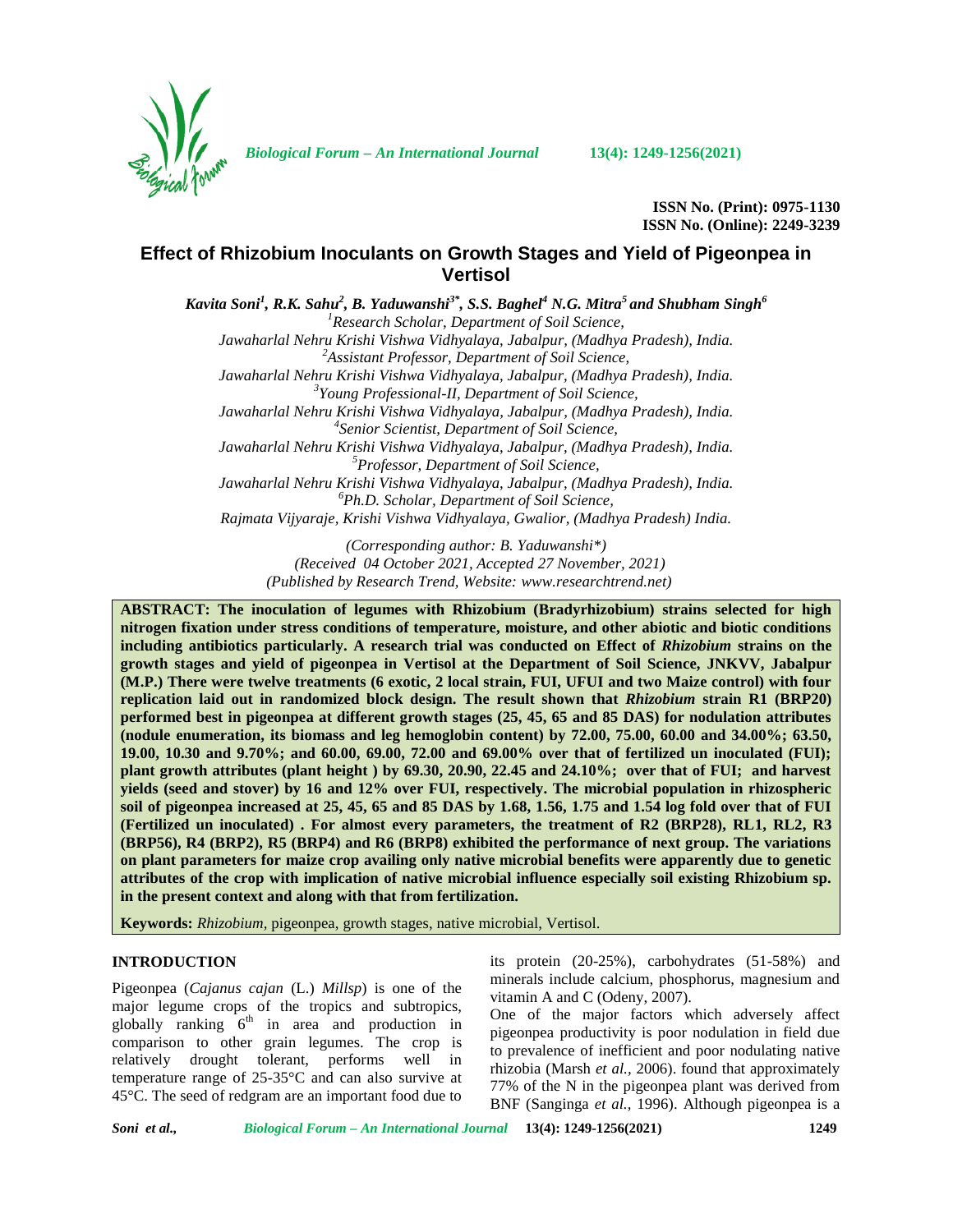

*Biological Forum – An International Journal* **13(4): 1249-1256(2021)**

**ISSN No. (Print): 0975-1130 ISSN No. (Online): 2249-3239**

# **Effect of Rhizobium Inoculants on Growth Stages and Yield of Pigeonpea in Vertisol**

*Kavita Soni<sup>1</sup> , R.K. Sahu<sup>2</sup> , B. Yaduwanshi3\*, S.S. Baghel<sup>4</sup> N.G. Mitra<sup>5</sup> and Shubham Singh<sup>6</sup> <sup>1</sup>Research Scholar, Department of Soil Science, Jawaharlal Nehru Krishi Vishwa Vidhyalaya, Jabalpur, (Madhya Pradesh), India. <sup>2</sup>Assistant Professor, Department of Soil Science, Jawaharlal Nehru Krishi Vishwa Vidhyalaya, Jabalpur, (Madhya Pradesh), India. <sup>3</sup>Young Professional-II, Department of Soil Science, Jawaharlal Nehru Krishi Vishwa Vidhyalaya, Jabalpur, (Madhya Pradesh), India. <sup>4</sup>Senior Scientist, Department of Soil Science, Jawaharlal Nehru Krishi Vishwa Vidhyalaya, Jabalpur, (Madhya Pradesh), India. <sup>5</sup>Professor, Department of Soil Science, Jawaharlal Nehru Krishi Vishwa Vidhyalaya, Jabalpur, (Madhya Pradesh), India. <sup>6</sup>Ph.D. Scholar, Department of Soil Science, Rajmata Vijyaraje, Krishi Vishwa Vidhyalaya, Gwalior, (Madhya Pradesh) India.*

> *(Corresponding author: B. Yaduwanshi\*) (Received 04 October 2021, Accepted 27 November, 2021) (Published by Research Trend, Website: <www.researchtrend.net>)*

**ABSTRACT: The inoculation of legumes with Rhizobium (Bradyrhizobium) strains selected for high nitrogen fixation under stress conditions of temperature, moisture, and other abiotic and biotic conditions including antibiotics particularly. A research trial was conducted on Effect of** *Rhizobium* **strains on the growth stages and yield of pigeonpea in Vertisol at the Department of Soil Science, JNKVV, Jabalpur (M.P.) There were twelve treatments (6 exotic, 2 local strain, FUI, UFUI and two Maize control) with four replication laid out in randomized block design. The result shown that** *Rhizobium* **strain R1 (BRP20) performed best in pigeonpea at different growth stages (25, 45, 65 and 85 DAS) for nodulation attributes (nodule enumeration, its biomass and leg hemoglobin content) by 72.00, 75.00, 60.00 and 34.00%; 63.50, 19.00, 10.30 and 9.70%; and 60.00, 69.00, 72.00 and 69.00% over that of fertilized un inoculated (FUI); plant growth attributes (plant height ) by 69.30, 20.90, 22.45 and 24.10%; over that of FUI; and harvest yields (seed and stover) by 16 and 12% over FUI, respectively. The microbial population in rhizospheric soil of pigeonpea increased at 25, 45, 65 and 85 DAS by 1.68, 1.56, 1.75 and 1.54 log fold over that of FUI (Fertilized un inoculated) . For almost every parameters, the treatment of R2 (BRP28), RL1, RL2, R3 (BRP56), R4 (BRP2), R5 (BRP4) and R6 (BRP8) exhibited the performance of next group. The variations on plant parameters for maize crop availing only native microbial benefits were apparently due to genetic attributes of the crop with implication of native microbial influence especially soil existing Rhizobium sp. in the present context and along with that from fertilization.**

**Keywords:** *Rhizobium,* pigeonpea, growth stages, native microbial, Vertisol.

# **INTRODUCTION**

Pigeonpea (*Cajanus cajan* (L.) *Millsp*) is one of the major legume crops of the tropics and subtropics, globally ranking  $6<sup>th</sup>$  in area and production in comparison to other grain legumes. The crop is relatively drought tolerant, performs well in temperature range of 25-35°C and can also survive at 45°C. The seed of redgram are an important food due to

its protein (20-25%), carbohydrates (51-58%) and minerals include calcium, phosphorus, magnesium and vitamin A and C (Odeny, 2007).

One of the major factors which adversely affect pigeonpea productivity is poor nodulation in field due to prevalence of inefficient and poor nodulating native rhizobia (Marsh *et al.,* 2006). found that approximately 77% of the N in the pigeonpea plant was derived from BNF (Sanginga *et al.,* 1996). Although pigeonpea is a

*Soni et al., Biological Forum – An International Journal* **13(4): 1249-1256(2021) 1249**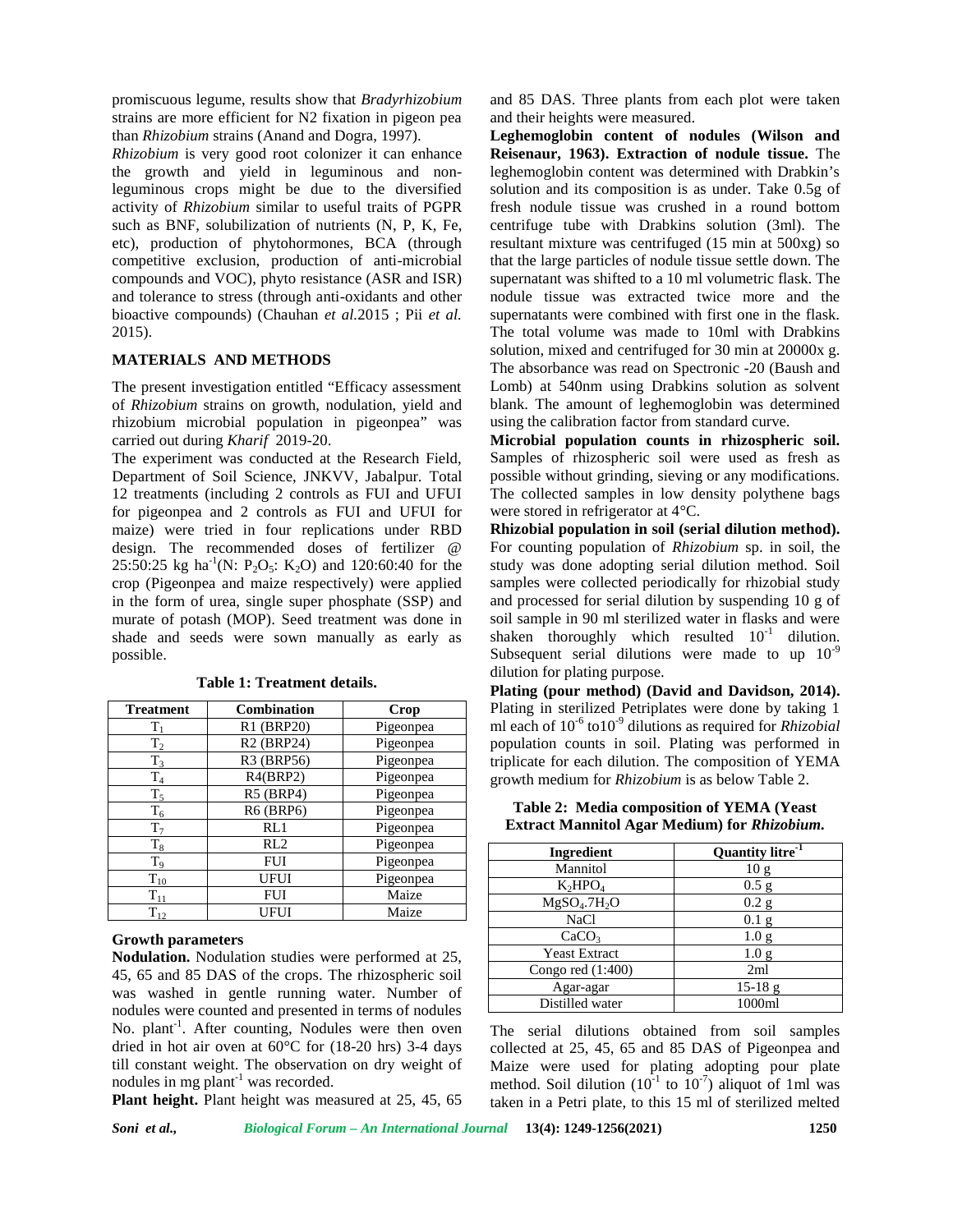promiscuous legume, results show that *Bradyrhizobium* strains are more efficient for N2 fixation in pigeon pea than *Rhizobium* strains (Anand and Dogra, 1997).

*Rhizobium* is very good root colonizer it can enhance the growth and yield in leguminous and nonleguminous crops might be due to the diversified activity of *Rhizobium* similar to useful traits of PGPR such as BNF, solubilization of nutrients (N, P, K, Fe, etc), production of phytohormones, BCA (through competitive exclusion, production of anti-microbial compounds and VOC), phyto resistance (ASR and ISR) and tolerance to stress (through anti-oxidants and other bioactive compounds) (Chauhan *et al.*2015 ; Pii *et al.* 2015).

# **MATERIALS AND METHODS**

The present investigation entitled "Efficacy assessment of *Rhizobium* strains on growth, nodulation, yield and rhizobium microbial population in pigeonpea" was carried out during *Kharif* 2019-20.

The experiment was conducted at the Research Field, Department of Soil Science, JNKVV, Jabalpur. Total 12 treatments (including 2 controls as FUI and UFUI for pigeonpea and 2 controls as FUI and UFUI for maize) were tried in four replications under RBD design. The recommended doses of fertilizer @ 25:50:25 kg ha<sup>-1</sup>(N: P<sub>2</sub>O<sub>5</sub>: K<sub>2</sub>O) and 120:60:40 for the crop (Pigeonpea and maize respectively) were applied in the form of urea, single super phosphate (SSP) and murate of potash (MOP). Seed treatment was done in shade and seeds were sown manually as early as possible.

| <b>Treatment</b> | Combination                         | Crop      |
|------------------|-------------------------------------|-----------|
| $T_1$            | R1 (BRP20)                          | Pigeonpea |
| $T_2$            | R <sub>2</sub> (BRP <sub>24</sub> ) | Pigeonpea |
| $T_3$            | R3 (BRP56)                          | Pigeonpea |
| $T_4$            | R4(BRP2)                            | Pigeonpea |
| $T_5$            | <b>R5 (BRP4)</b>                    | Pigeonpea |
| $T_6$            | <b>R6 (BRP6)</b>                    | Pigeonpea |
| $T_7$            | RL1                                 | Pigeonpea |
| $T_8$            | RL2                                 | Pigeonpea |
| $T_9$            | <b>FUI</b>                          | Pigeonpea |
| $T_{10}$         | <b>UFUI</b>                         | Pigeonpea |
| $T_{11}$         | <b>FUI</b>                          | Maize     |
| $T_{12}$         | UFUI                                | Maize     |

**Table 1: Treatment details.**

# **Growth parameters**

**Nodulation.** Nodulation studies were performed at 25, 45, 65 and 85 DAS of the crops. The rhizospheric soil was washed in gentle running water. Number of nodules were counted and presented in terms of nodules No. plant<sup>-1</sup>. After counting, Nodules were then oven The dried in hot air oven at 60°C for (18-20 hrs) 3-4 days till constant weight. The observation on dry weight of nodules in mg plant<sup>-1</sup> was recorded.

**Plant height.** Plant height was measured at 25, 45, 65

and 85 DAS. Three plants from each plot were taken and their heights were measured.

**Leghemoglobin content of nodules (Wilson and Reisenaur, 1963). Extraction of nodule tissue.** The leghemoglobin content was determined with Drabkin's solution and its composition is as under. Take 0.5g of fresh nodule tissue was crushed in a round bottom centrifuge tube with Drabkins solution (3ml). The resultant mixture was centrifuged (15 min at 500xg) so that the large particles of nodule tissue settle down. The supernatant was shifted to a 10 ml volumetric flask. The nodule tissue was extracted twice more and the supernatants were combined with first one in the flask. The total volume was made to 10ml with Drabkins solution, mixed and centrifuged for 30 min at 20000x g. The absorbance was read on Spectronic -20 (Baush and Lomb) at 540nm using Drabkins solution as solvent blank. The amount of leghemoglobin was determined using the calibration factor from standard curve.

**Microbial population counts in rhizospheric soil.** Samples of rhizospheric soil were used as fresh as possible without grinding, sieving or any modifications. The collected samples in low density polythene bags were stored in refrigerator at 4°C.

**Rhizobial population in soil (serial dilution method).** For counting population of *Rhizobium* sp. in soil, the study was done adopting serial dilution method. Soil samples were collected periodically for rhizobial study and processed for serial dilution by suspending 10 g of soil sample in 90 ml sterilized water in flasks and were shaken thoroughly which resulted  $10^{-1}$  dilution. Subsequent serial dilutions were made to up  $10^{-9}$ dilution for plating purpose.

**Plating (pour method) (David and Davidson, 2014).** Plating in sterilized Petriplates were done by taking 1 ml each of 10<sup>-6</sup> to10<sup>-9</sup> dilutions as required for *Rhizobial* population counts in soil. Plating was performed in triplicate for each dilution. The composition of YEMA growth medium for *Rhizobium* is as below Table 2.

**Table 2: Media composition of YEMA (Yeast Extract Mannitol Agar Medium) for** *Rhizobium.*

| Ingredient                           | Quantity litre <sup>-1</sup> |
|--------------------------------------|------------------------------|
| Mannitol                             | 10 <sub>g</sub>              |
| $K_2HPO4$                            | $0.5$ g                      |
| MgSO <sub>4</sub> .7H <sub>2</sub> O | 0.2 g                        |
| <b>NaCl</b>                          | 0.1 <sub>g</sub>             |
| CaCO <sub>3</sub>                    | 1.0 <sub>g</sub>             |
| <b>Yeast Extract</b>                 | 1.0 <sub>g</sub>             |
| Congo red $(1:400)$                  | 2ml                          |
| Agar-agar                            | $15-18$ g                    |
| Distilled water                      | 1000ml                       |

The serial dilutions obtained from soil samples collected at 25, 45, 65 and 85 DAS of Pigeonpea and Maize were used for plating adopting pour plate method. Soil dilution  $(10^{-1}$  to  $10^{-7})$  aliquot of 1ml was taken in a Petri plate, to this 15 ml of sterilized melted

*Soni et al., Biological Forum – An International Journal* **13(4): 1249-1256(2021) 1250**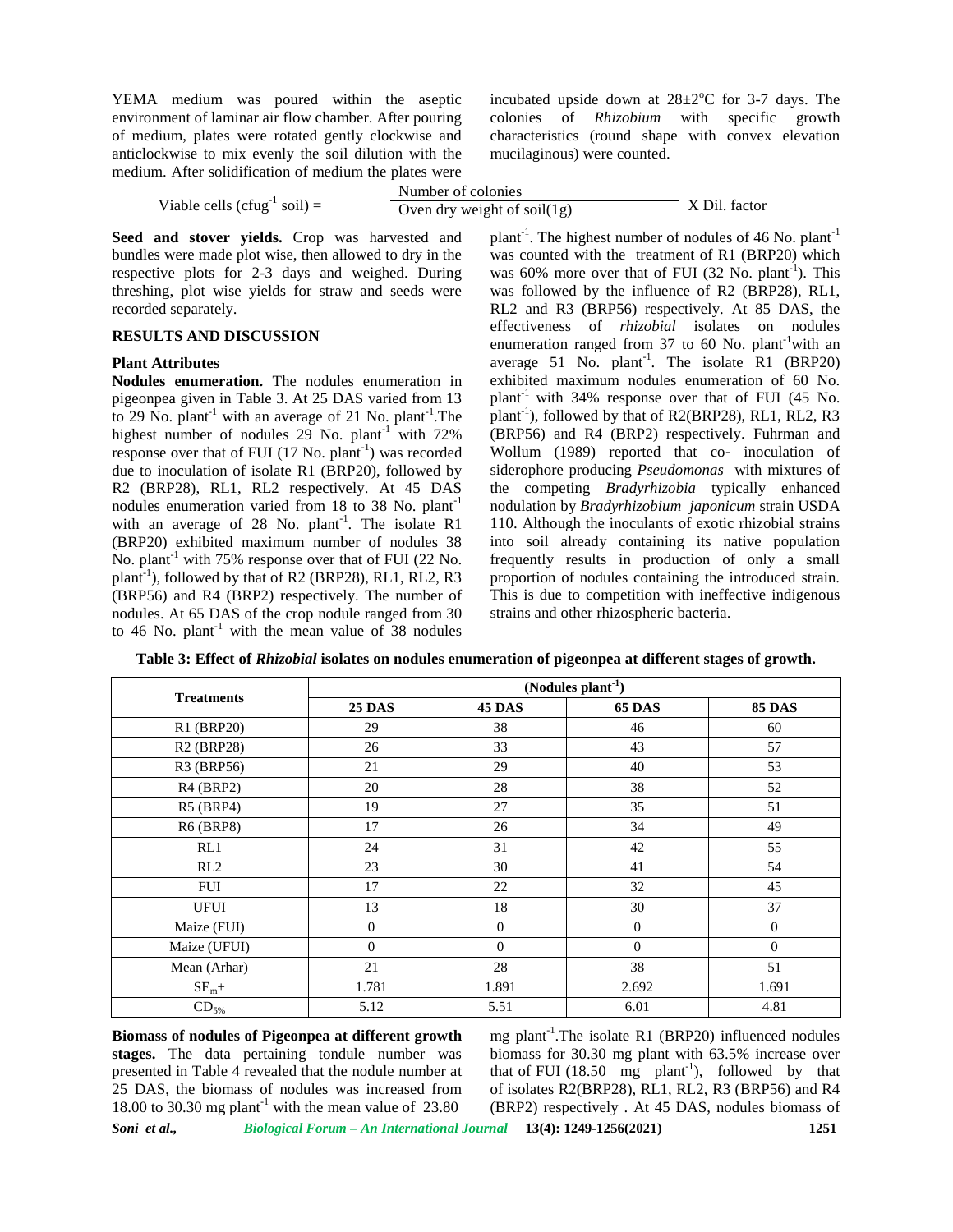YEMA medium was poured within the aseptic environment of laminar air flow chamber. After pouring of medium, plates were rotated gently clockwise and anticlockwise to mix evenly the soil dilution with the medium. After solidification of medium the plates were

incubated upside down at  $28\pm2\degree$ C for 3-7 days. The colonies of *Rhizobium* with specific growth characteristics (round shape with convex elevation mucilaginous) were counted.

| medium. After sondification of medium the plates were                                       |                                                                                                                                                                                                                                                                                               |               |
|---------------------------------------------------------------------------------------------|-----------------------------------------------------------------------------------------------------------------------------------------------------------------------------------------------------------------------------------------------------------------------------------------------|---------------|
|                                                                                             | Number of colonies                                                                                                                                                                                                                                                                            |               |
| Viable cells (cfug <sup>-1</sup> soil) =                                                    | Oven dry weight of soil $(1g)$                                                                                                                                                                                                                                                                | X Dil. factor |
| Seed and stover yields. Crop was harvested and                                              | plant <sup>-1</sup> . The highest number of nodules of 46 No. plant <sup>-1</sup>                                                                                                                                                                                                             |               |
| المترافي والمساوي والمناور والمستحل المتحاول والمتحاول والمتحدث والمستحدث والمستحل والمستحل | $\frac{1}{2}$ and $\frac{1}{2}$ and $\frac{1}{2}$ and $\frac{1}{2}$ are $\frac{1}{2}$ and $\frac{1}{2}$ and $\frac{1}{2}$ and $\frac{1}{2}$ and $\frac{1}{2}$ and $\frac{1}{2}$ and $\frac{1}{2}$ and $\frac{1}{2}$ and $\frac{1}{2}$ and $\frac{1}{2}$ and $\frac{1}{2}$ and $\frac{1}{2}$ a |               |

bundles were made plot wise, then allowed to dry in the respective plots for 2-3 days and weighed. During threshing, plot wise yields for straw and seeds were recorded separately.

### **RESULTS AND DISCUSSION**

#### **Plant Attributes**

**Nodules enumeration.** The nodules enumeration in pigeonpea given in Table 3. At 25 DAS varied from 13 to 29 No. plant<sup>-1</sup> with an average of 21 No. plant<sup>-1</sup>. The plant highest number of nodules  $29$  No. plant<sup>-1</sup> with  $72\%$ response over that of FUI (17 No. plant<sup>-1</sup>) was recorded due to inoculation of isolate R1 (BRP20), followed by R2 (BRP28), RL1, RL2 respectively. At 45 DAS nodules enumeration varied from 18 to 38 No. plant<sup>-1</sup> with an average of 28 No.  $plant^{-1}$ . The isolate R1 110. (BRP20) exhibited maximum number of nodules 38 No. plant<sup>-1</sup> with 75% response over that of FUI (22 No. plant<sup>-1</sup>), followed by that of R2 (BRP28), RL1, RL2, R3 (BRP56) and R4 (BRP2) respectively. The number of nodules. At 65 DAS of the crop nodule ranged from 30 to 46 No. plant<sup>-1</sup> with the mean value of 38 nodules

was counted with the treatment of R1 (BRP20) which was  $60\%$  more over that of FUI (32 No. plant<sup>-1</sup>). This was followed by the influence of R2 (BRP28), RL1, RL2 and R3 (BRP56) respectively. At 85 DAS, the effectiveness of *rhizobial* isolates on nodules enumeration ranged from  $37$  to  $60$  No. plant<sup>-1</sup>with an average 51 No.  $plant^{-1}$ . The isolate R1 (BRP20) exhibited maximum nodules enumeration of 60 No. plant<sup>-1</sup> with 34% response over that of FUI (45 No. plant<sup>-1</sup>), followed by that of R2(BRP28), RL1, RL2, R3 (BRP56) and R4 (BRP2) respectively. Fuhrman and Wollum (1989) reported that co- inoculation of siderophore producing *Pseudomonas* with mixtures of the competing *Bradyrhizobia* typically enhanced nodulation by *Bradyrhizobium japonicum* strain USDA 110. Although the inoculants of exotic rhizobial strains into soil already containing its native population frequently results in production of only a small proportion of nodules containing the introduced strain. This is due to competition with ineffective indigenous strains and other rhizospheric bacteria.

| <b>Treatments</b>                   | $($ Nodules plant <sup>-1</sup> $)$ |               |               |                |
|-------------------------------------|-------------------------------------|---------------|---------------|----------------|
|                                     | <b>25 DAS</b>                       | <b>45 DAS</b> | <b>65 DAS</b> | <b>85 DAS</b>  |
| R1 (BRP20)                          | 29                                  | 38            | 46            | 60             |
| R <sub>2</sub> (BRP <sub>28</sub> ) | 26                                  | 33            | 43            | 57             |
| R3 (BRP56)                          | 21                                  | 29            | 40            | 53             |
| $R4$ (BRP2)                         | 20                                  | 28            | 38            | 52             |
| R5 (BRP4)                           | 19                                  | 27            | 35            | 51             |
| <b>R6 (BRP8)</b>                    | 17                                  | 26            | 34            | 49             |
| RL1                                 | 24                                  | 31            | 42            | 55             |
| RL2                                 | 23                                  | 30            | 41            | 54             |
| FUI                                 | 17                                  | 22            | 32            | 45             |
| <b>UFUI</b>                         | 13                                  | 18            | 30            | 37             |
| Maize (FUI)                         | $\mathbf{0}$                        | $\mathbf{0}$  | $\mathbf{0}$  | $\overline{0}$ |
| Maize (UFUI)                        | $\boldsymbol{0}$                    | $\mathbf{0}$  | $\Omega$      | $\overline{0}$ |
| Mean (Arhar)                        | 21                                  | 28            | 38            | 51             |
| SE <sub>m</sub> ±                   | 1.781                               | 1.891         | 2.692         | 1.691          |
| $CD_{5\%}$                          | 5.12                                | 5.51          | 6.01          | 4.81           |

**Table 3: Effect of** *Rhizobial* **isolates on nodules enumeration of pigeonpea at different stages of growth.**

*Soni et al., Biological Forum – An International Journal* **13(4): 1249-1256(2021) 1251 Biomass of nodules of Pigeonpea at different growth stages.** The data pertaining tondule number was presented in Table 4 revealed that the nodule number at 25 DAS, the biomass of nodules was increased from 18.00 to 30.30 mg plant<sup>-1</sup> with the mean value of  $23.80$ 

mg plant<sup>-1</sup>. The isolate R1 (BRP20) influenced nodules biomass for 30.30 mg plant with 63.5% increase over that of FUI (18.50 mg plant<sup>-1</sup>), followed by that of isolates R2(BRP28), RL1, RL2, R3 (BRP56) and R4 (BRP2) respectively . At 45 DAS, nodules biomass of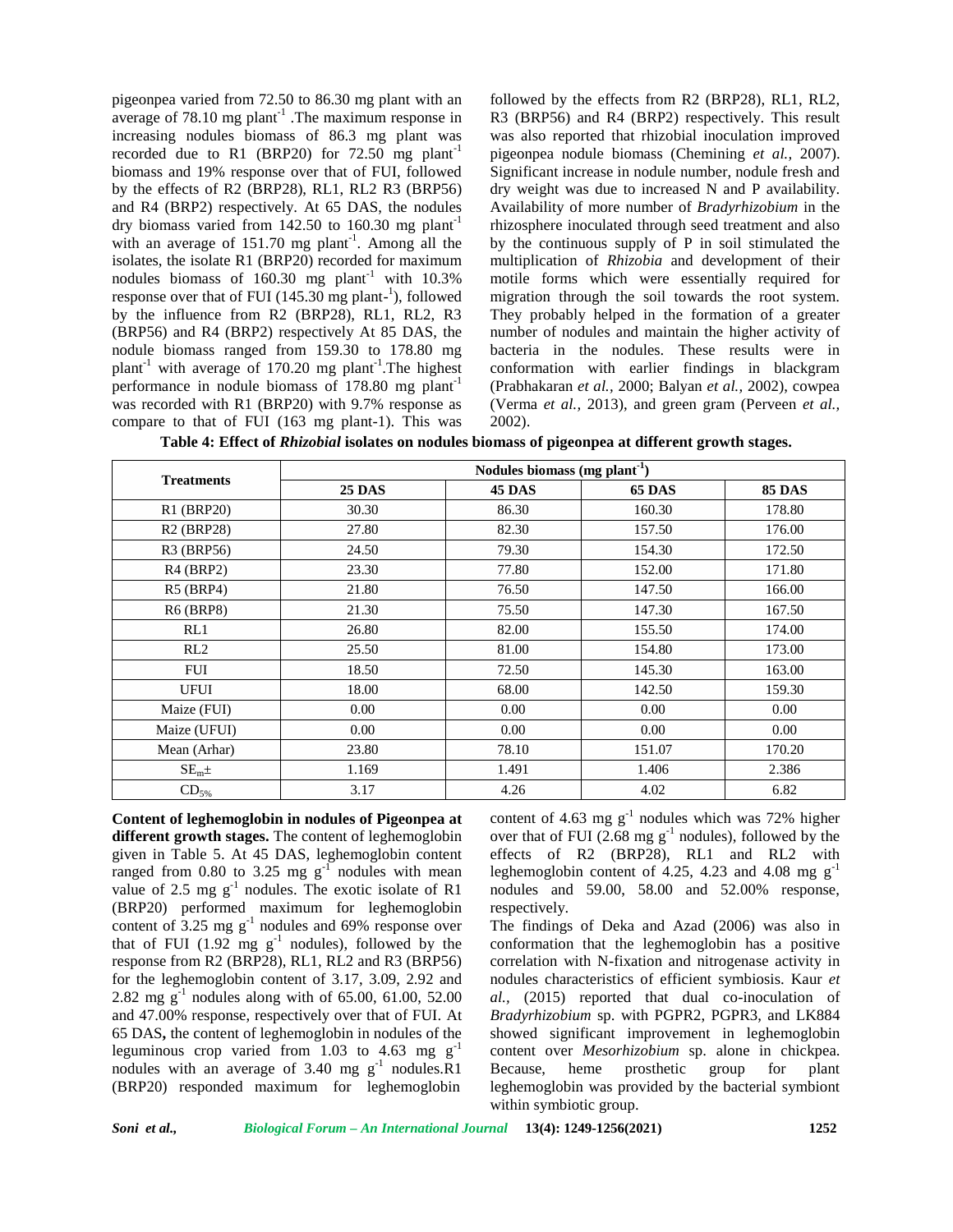pigeonpea varied from 72.50 to 86.30 mg plant with an average of  $78.10$  mg plant<sup>-1</sup>. The maximum response in R3 ( increasing nodules biomass of 86.3 mg plant was recorded due to R1 (BRP20) for  $72.50$  mg plant<sup>-1</sup> biomass and 19% response over that of FUI, followed by the effects of R2 (BRP28), RL1, RL2 R3 (BRP56) and R4 (BRP2) respectively. At 65 DAS, the nodules dry biomass varied from  $142.50$  to  $160.30$  mg plant<sup>-1</sup> with an average of  $151.70$  mg plant<sup>-1</sup>. Among all the by isolates, the isolate R1 (BRP20) recorded for maximum nodules biomass of  $160.30$  mg plant<sup>-1</sup> with  $10.3\%$ response over that of FUI (145.30 mg plant-<sup>1</sup>), followed migr by the influence from R2 (BRP28), RL1, RL2, R3 (BRP56) and R4 (BRP2) respectively At 85 DAS, the nodule biomass ranged from 159.30 to 178.80 mg plant<sup>-1</sup> with average of 170.20 mg plant<sup>-1</sup>. The highest  $\alpha$ performance in nodule biomass of 178.80 mg plant-1 was recorded with R1 (BRP20) with 9.7% response as compare to that of FUI (163 mg plant-1). This was **Table 4: Effect of** *Rhizobial* **isolates on nodules biomass of pigeonpea at different growth stages.**

followed by the effects from R2 (BRP28), RL1, RL2, R3 (BRP56) and R4 (BRP2) respectively. This result was also reported that rhizobial inoculation improved pigeonpea nodule biomass (Chemining *et al.,* 2007). Significant increase in nodule number, nodule fresh and dry weight was due to increased N and P availability. Availability of more number of *Bradyrhizobium* in the rhizosphere inoculated through seed treatment and also by the continuous supply of P in soil stimulated the multiplication of *Rhizobia* and development of their motile forms which were essentially required for migration through the soil towards the root system. They probably helped in the formation of a greater number of nodules and maintain the higher activity of bacteria in the nodules. These results were in conformation with earlier findings in blackgram (Prabhakaran *et al.,* 2000; Balyan *et al.,* 2002), cowpea (Verma *et al.,* 2013), and green gram (Perveen *et al.,* 2002).

| <b>Table 4: Effect of <i>Knizobial</i></b> isolates on nodules biomass of pigeonpea at unferent growth stages. |  |  |
|----------------------------------------------------------------------------------------------------------------|--|--|
|                                                                                                                |  |  |

| <b>Treatments</b> | Nodules biomass (mg plant <sup>-1</sup> ) |               |               |               |
|-------------------|-------------------------------------------|---------------|---------------|---------------|
|                   | <b>25 DAS</b>                             | <b>45 DAS</b> | <b>65 DAS</b> | <b>85 DAS</b> |
| R1 (BRP20)        | 30.30                                     | 86.30         | 160.30        | 178.80        |
| <b>R2 (BRP28)</b> | 27.80                                     | 82.30         | 157.50        | 176.00        |
| R3 (BRP56)        | 24.50                                     | 79.30         | 154.30        | 172.50        |
| $R4$ (BRP2)       | 23.30                                     | 77.80         | 152.00        | 171.80        |
| $R5$ (BRP4)       | 21.80                                     | 76.50         | 147.50        | 166.00        |
| <b>R6 (BRP8)</b>  | 21.30                                     | 75.50         | 147.30        | 167.50        |
| RL1               | 26.80                                     | 82.00         | 155.50        | 174.00        |
| RL2               | 25.50                                     | 81.00         | 154.80        | 173.00        |
| <b>FUI</b>        | 18.50                                     | 72.50         | 145.30        | 163.00        |
| <b>UFUI</b>       | 18.00                                     | 68.00         | 142.50        | 159.30        |
| Maize (FUI)       | 0.00                                      | 0.00          | 0.00          | 0.00          |
| Maize (UFUI)      | 0.00                                      | 0.00          | 0.00          | 0.00          |
| Mean (Arhar)      | 23.80                                     | 78.10         | 151.07        | 170.20        |
| SE <sub>m</sub> ± | 1.169                                     | 1.491         | 1.406         | 2.386         |
| $CD_{5\%}$        | 3.17                                      | 4.26          | 4.02          | 6.82          |

**Content of leghemoglobin in nodules of Pigeonpea at different growth stages.** The content of leghemoglobin given in Table 5. At 45 DAS, leghemoglobin content ranged from 0.80 to 3.25 mg  $g^{-1}$  nodules with mean value of 2.5 mg  $g^{-1}$  nodules. The exotic isolate of R1 (BRP20) performed maximum for leghemoglobin content of  $3.25 \text{ mg g}^{-1}$  nodules and 69% response over T that of FUI (1.92 mg  $g^{-1}$  nodules), followed by the con response from R2 (BRP28), RL1, RL2 and R3 (BRP56) for the leghemoglobin content of 3.17, 3.09, 2.92 and 2.82 mg  $g^{-1}$  nodules along with of 65.00, 61.00, 52.00 and 47.00% response, respectively over that of FUI. At 65 DAS**,** the content of leghemoglobin in nodules of the leguminous crop varied from 1.03 to 4.63 mg  $g^{-1}$ nodules with an average of  $3.40 \text{ mg g}^{-1}$  nodules.R1 Because, (BRP20) responded maximum for leghemoglobin

content of 4.63 mg  $g^{-1}$  nodules which was 72% higher over that of FUI (2.68 mg  $g^{-1}$  nodules), followed by the effects of R2 (BRP28), RL1 and RL2 with leghemoglobin content of 4.25, 4.23 and 4.08 mg  $g^{-1}$ nodules and 59.00, 58.00 and 52.00% response, respectively.

The findings of Deka and Azad (2006) was also in conformation that the leghemoglobin has a positive correlation with N-fixation and nitrogenase activity in nodules characteristics of efficient symbiosis. Kaur *et al.,* (2015) reported that dual co-inoculation of *Bradyrhizobium* sp. with PGPR2, PGPR3, and LK884 showed significant improvement in leghemoglobin content over *Mesorhizobium* sp. alone in chickpea. heme prosthetic group for plant leghemoglobin was provided by the bacterial symbiont within symbiotic group.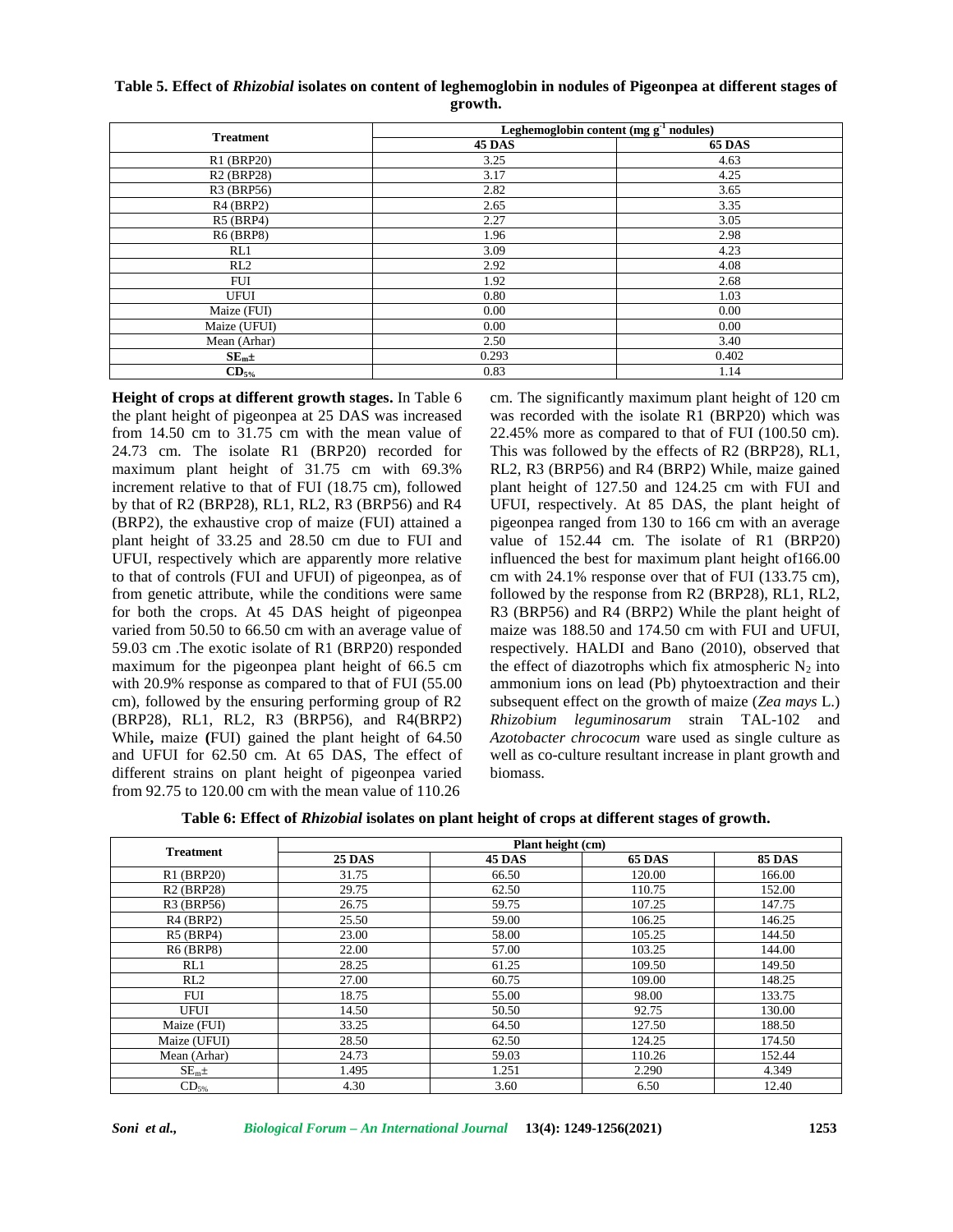# **Table 5. Effect of** *Rhizobial* **isolates on content of leghemoglobin in nodules of Pigeonpea at different stages of growth.**

| <b>Treatment</b>                    | Leghemoglobin content (mg $g^{-1}$ nodules) |               |  |
|-------------------------------------|---------------------------------------------|---------------|--|
|                                     | <b>45 DAS</b>                               | <b>65 DAS</b> |  |
| R1 (BRP20)                          | 3.25                                        | 4.63          |  |
| R <sub>2</sub> (BRP <sub>28</sub> ) | 3.17                                        | 4.25          |  |
| R3 (BRP56)                          | 2.82                                        | 3.65          |  |
| $R4$ (BRP2)                         | 2.65                                        | 3.35          |  |
| $R5$ (BRP4)                         | 2.27                                        | 3.05          |  |
| <b>R6 (BRP8)</b>                    | 1.96                                        | 2.98          |  |
| RL1                                 | 3.09                                        | 4.23          |  |
| RL2                                 | 2.92                                        | 4.08          |  |
| <b>FUI</b>                          | 1.92                                        | 2.68          |  |
| <b>UFUI</b>                         | 0.80                                        | 1.03          |  |
| Maize (FUI)                         | 0.00                                        | 0.00          |  |
| Maize (UFUI)                        | 0.00                                        | 0.00          |  |
| Mean (Arhar)                        | 2.50                                        | 3.40          |  |
| $SE_m \pm$                          | 0.293                                       | 0.402         |  |
| $CD_{5\%}$                          | 0.83                                        | 1.14          |  |

**Height of crops at different growth stages.** In Table 6 the plant height of pigeonpea at 25 DAS was increased from 14.50 cm to 31.75 cm with the mean value of 24.73 cm. The isolate R1 (BRP20) recorded for maximum plant height of 31.75 cm with 69.3% increment relative to that of FUI (18.75 cm), followed by that of R2 (BRP28), RL1, RL2, R3 (BRP56) and R4 (BRP2), the exhaustive crop of maize (FUI) attained a plant height of 33.25 and 28.50 cm due to FUI and UFUI, respectively which are apparently more relative to that of controls (FUI and UFUI) of pigeonpea, as of from genetic attribute, while the conditions were same for both the crops. At 45 DAS height of pigeonpea varied from 50.50 to 66.50 cm with an average value of 59.03 cm .The exotic isolate of R1 (BRP20) responded maximum for the pigeonpea plant height of 66.5 cm with 20.9% response as compared to that of FUI (55.00 cm), followed by the ensuring performing group of R2 (BRP28), RL1, RL2, R3 (BRP56), and R4(BRP2) While**,** maize **(**FUI) gained the plant height of 64.50 and UFUI for 62.50 cm. At 65 DAS, The effect of different strains on plant height of pigeonpea varied from 92.75 to 120.00 cm with the mean value of 110.26

cm. The significantly maximum plant height of 120 cm was recorded with the isolate R1 (BRP20) which was 22.45% more as compared to that of FUI (100.50 cm). This was followed by the effects of R2 (BRP28), RL1, RL2, R3 (BRP56) and R4 (BRP2) While, maize gained plant height of 127.50 and 124.25 cm with FUI and UFUI, respectively. At 85 DAS, the plant height of pigeonpea ranged from 130 to 166 cm with an average value of 152.44 cm. The isolate of R1 (BRP20) influenced the best for maximum plant height of166.00 cm with 24.1% response over that of FUI (133.75 cm), followed by the response from R2 (BRP28), RL1, RL2, R3 (BRP56) and R4 (BRP2) While the plant height of maize was 188.50 and 174.50 cm with FUI and UFUI, respectively. HALDI and Bano (2010), observed that the effect of diazotrophs which fix atmospheric  $N_2$  into ammonium ions on lead (Pb) phytoextraction and their subsequent effect on the growth of maize (*Zea mays* L.) *Rhizobium leguminosarum* strain TAL-102 and *Azotobacter chrococum* ware used as single culture as well as co-culture resultant increase in plant growth and biomass.

**Table 6: Effect of** *Rhizobial* **isolates on plant height of crops at different stages of growth.**

| <b>Treatment</b>  | Plant height (cm) |               |               |               |
|-------------------|-------------------|---------------|---------------|---------------|
|                   | <b>25 DAS</b>     | <b>45 DAS</b> | <b>65 DAS</b> | <b>85 DAS</b> |
| R1 (BRP20)        | 31.75             | 66.50         | 120.00        | 166.00        |
| <b>R2 (BRP28)</b> | 29.75             | 62.50         | 110.75        | 152.00        |
| R3 (BRP56)        | 26.75             | 59.75         | 107.25        | 147.75        |
| $R4$ (BRP2)       | 25.50             | 59.00         | 106.25        | 146.25        |
| $R5$ (BRP4)       | 23.00             | 58.00         | 105.25        | 144.50        |
| <b>R6 (BRP8)</b>  | 22.00             | 57.00         | 103.25        | 144.00        |
| RL1               | 28.25             | 61.25         | 109.50        | 149.50        |
| RL2               | 27.00             | 60.75         | 109.00        | 148.25        |
| <b>FUI</b>        | 18.75             | 55.00         | 98.00         | 133.75        |
| <b>UFUI</b>       | 14.50             | 50.50         | 92.75         | 130.00        |
| Maize (FUI)       | 33.25             | 64.50         | 127.50        | 188.50        |
| Maize (UFUI)      | 28.50             | 62.50         | 124.25        | 174.50        |
| Mean (Arhar)      | 24.73             | 59.03         | 110.26        | 152.44        |
| SE <sub>m</sub> ± | 1.495             | 1.251         | 2.290         | 4.349         |
| $CD_{5\%}$        | 4.30              | 3.60          | 6.50          | 12.40         |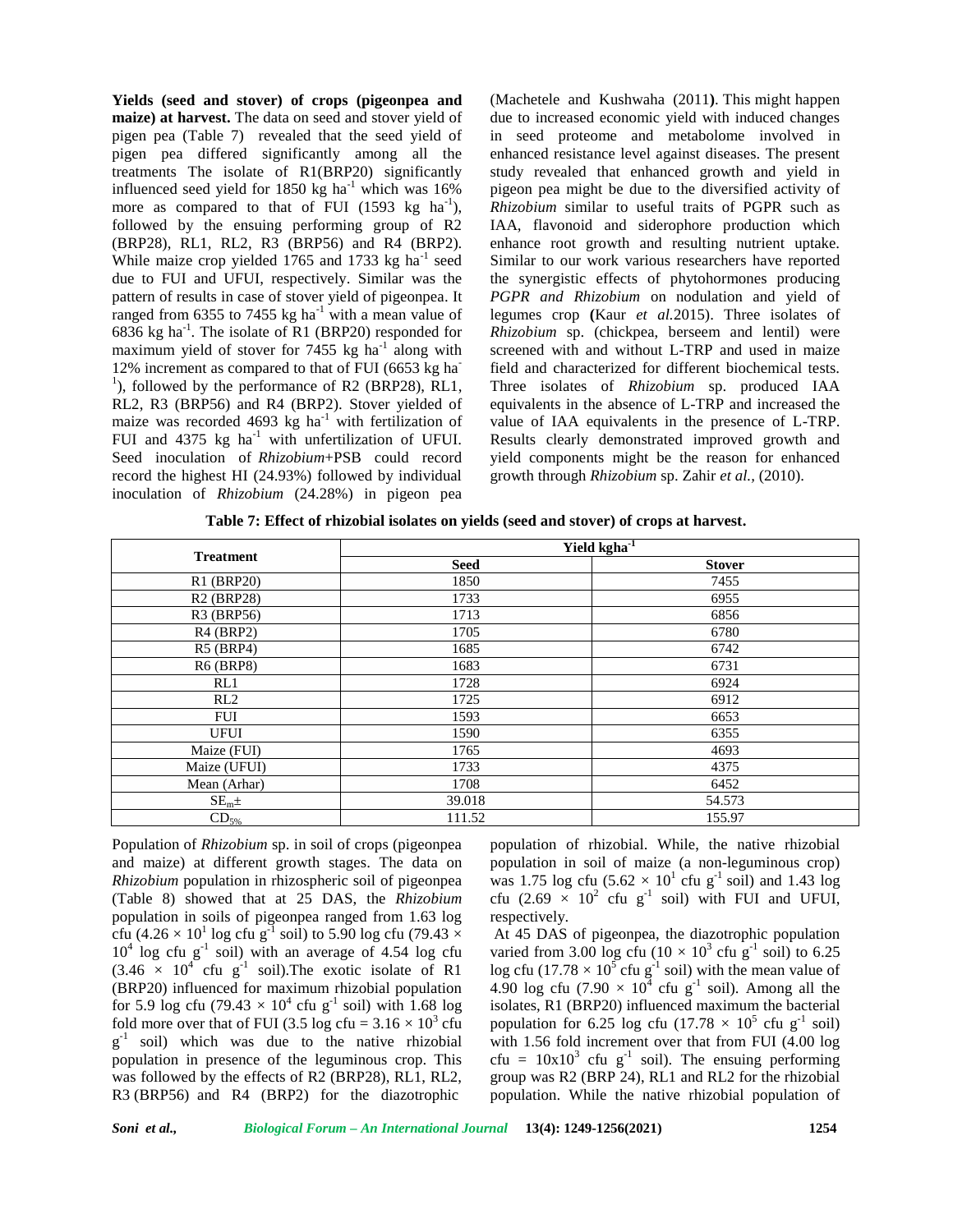**Yields (seed and stover) of crops (pigeonpea and maize) at harvest.** The data on seed and stover yield of pigen pea (Table 7) revealed that the seed yield of pigen pea differed significantly among all the treatments The isolate of R1(BRP20) significantly influenced seed yield for 1850 kg ha<sup>-1</sup> which was  $16\%$ more as compared to that of FUI (1593 kg  $ha^{-1}$ ), followed by the ensuing performing group of R2 (BRP28), RL1, RL2, R3 (BRP56) and R4 (BRP2). While maize crop yielded  $1765$  and  $1733$  kg ha<sup>-1</sup> seed due to FUI and UFUI, respectively. Similar was the pattern of results in case of stover yield of pigeonpea. It ranged from 6355 to 7455 kg ha<sup>-1</sup> with a mean value of 6836 kg ha<sup>-1</sup>. The isolate of R1 (BRP20) responded for  $R$ maximum yield of stover for  $7455$  kg ha<sup>-1</sup> along with 12% increment as compared to that of FUI (6653 kg ha<sup>-1</sup>), followed by the performance of R2 (BRP28), RL1, RL2, R3 (BRP56) and R4 (BRP2). Stover yielded of maize was recorded 4693 kg ha<sup>-1</sup> with fertilization of FUI and  $4375 \text{ kg}$  ha<sup>-1</sup> with unfertilization of UFUI. Seed inoculation of *Rhizobium*+PSB could record record the highest HI (24.93%) followed by individual inoculation of *Rhizobium* (24.28%) in pigeon pea

(Machetele and Kushwaha (2011**)**. This might happen due to increased economic yield with induced changes in seed proteome and metabolome involved in enhanced resistance level against diseases. The present study revealed that enhanced growth and yield in pigeon pea might be due to the diversified activity of *Rhizobium* similar to useful traits of PGPR such as IAA, flavonoid and siderophore production which enhance root growth and resulting nutrient uptake. Similar to our work various researchers have reported the synergistic effects of phytohormones producing *PGPR and Rhizobium* on nodulation and yield of legumes crop **(**Kaur *et al.*2015). Three isolates of *Rhizobium* sp. (chickpea, berseem and lentil) were screened with and without L-TRP and used in maize field and characterized for different biochemical tests. Three isolates of *Rhizobium* sp. produced IAA equivalents in the absence of L-TRP and increased the value of IAA equivalents in the presence of L-TRP. Results clearly demonstrated improved growth and yield components might be the reason for enhanced growth through *Rhizobium* sp. Zahir *et al.,* (2010).

**Table 7: Effect of rhizobial isolates on yields (seed and stover) of crops at harvest.**

| <b>Treatment</b>  | Yield kgha <sup>-1</sup> |               |  |
|-------------------|--------------------------|---------------|--|
|                   | <b>Seed</b>              | <b>Stover</b> |  |
| R1 (BRP20)        | 1850                     | 7455          |  |
| <b>R2 (BRP28)</b> | 1733                     | 6955          |  |
| R3 (BRP56)        | 1713                     | 6856          |  |
| $R4$ (BRP2)       | 1705                     | 6780          |  |
| R5 (BRP4)         | 1685                     | 6742          |  |
| <b>R6 (BRP8)</b>  | 1683                     | 6731          |  |
| RL1               | 1728                     | 6924          |  |
| RL2               | 1725                     | 6912          |  |
| FUI               | 1593                     | 6653          |  |
| <b>UFUI</b>       | 1590                     | 6355          |  |
| Maize (FUI)       | 1765                     | 4693          |  |
| Maize (UFUI)      | 1733                     | 4375          |  |
| Mean (Arhar)      | 1708                     | 6452          |  |
| SE <sub>m</sub> ± | 39.018                   | 54.573        |  |
| $CD_{5\%}$        | 111.52                   | 155.97        |  |

Population of *Rhizobium* sp. in soil of crops (pigeonpea and maize) at different growth stages. The data on *Rhizobium* population in rhizospheric soil of pigeonpea (Table 8) showed that at 25 DAS, the *Rhizobium* population in soils of pigeonpea ranged from 1.63 log cfu (4.26  $\times$  10<sup>1</sup> log cfu g<sup>-1</sup> soil) to 5.90 log cfu (79.43  $\times$  At 4.  $10^4$  log cfu g<sup>-1</sup> soil) with an average of 4.54 log cfu varie  $(3.46 \times 10^{4} \text{ cftu g}^{-1} \text{ soil}).$  The exotic isolate of R1 log c (BRP20) influenced for maximum rhizobial population for 5.9 log cfu (79.43  $\times$  10<sup>4</sup> cfu g<sup>-1</sup> soil) with 1.68 log fold more over that of FUI (3.5 log cfu =  $3.16 \times 10^3$  cfu  $g^{-1}$  soil) which was due to the native rhizobial population in presence of the leguminous crop. This was followed by the effects of R2 (BRP28), RL1, RL2, R3 (BRP56) and R4 (BRP2) for the diazotrophic

population of rhizobial. While, the native rhizobial population in soil of maize (a non-leguminous crop) was 1.75 log cfu  $(5.62 \times 10^{1} \text{ c}$ fu g<sup>-1</sup> soil) and 1.43 log cfu (2.69  $\times$  10<sup>2</sup> cfu g<sup>-1</sup> soil) with FUI and UFUI, respectively.

At 45 DAS of pigeonpea, the diazotrophic population varied from 3.00 log cfu ( $10 \times 10^3$  cfu g<sup>-1</sup> soil) to 6.25 log cfu (17.78  $\times$  10<sup>5</sup> cfu g<sup>-1</sup> soil) with the mean value of 4.90 log cfu (7.90  $\times$  10<sup>4</sup> cfu g<sup>-1</sup> soil). Among all the isolates, R1 (BRP20) influenced maximum the bacterial population for 6.25 log cfu (17.78  $\times$  10<sup>5</sup> cfu g<sup>-1</sup> soil) with 1.56 fold increment over that from FUI (4.00 log cfu =  $10x10^3$  cfu g<sup>-1</sup> soil). The ensuing performing group was R2 (BRP 24), RL1 and RL2 for the rhizobial population. While the native rhizobial population of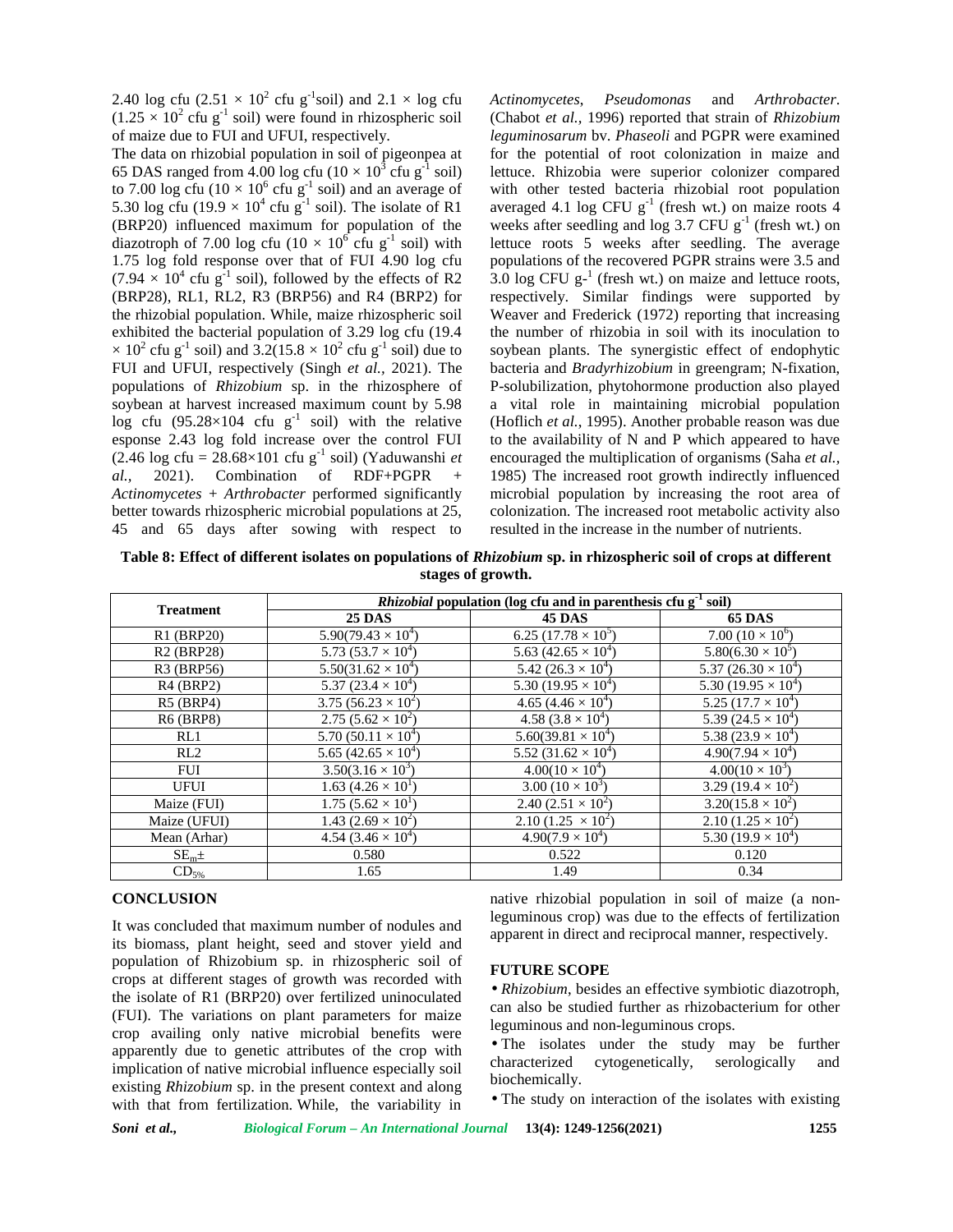2.40 log cfu  $(2.51 \times 10^2 \text{ c}$ fu g<sup>-1</sup>soil) and  $2.1 \times \log \text{ c}$ fu  $(1.25 \times 10^2 \text{ c}$ fu g<sup>-1</sup> soil) were found in rhizospheric soil of maize due to FUI and UFUI, respectively.

The data on rhizobial population in soil of pigeonpea at 65 DAS ranged from 4.00 log cfu ( $10 \times 10^3$  cfu g<sup>-1</sup> soil) le to 7.00 log cfu ( $10 \times 10^6$  cfu g<sup>-1</sup> soil) and an average of w 5.30 log cfu (19.9  $\times$  10<sup>4</sup> cfu g<sup>-1</sup> soil). The isolate of R1 avera (BRP20) influenced maximum for population of the diazotroph of 7.00 log cfu ( $10 \times 10^6$  cfu g<sup>-1</sup> soil) with 1.75 log fold response over that of FUI 4.90 log cfu  $(7.94 \times 10^4 \text{ cftu g}^{-1} \text{ soil})$ , followed by the effects of R2 (BRP28), RL1, RL2, R3 (BRP56) and R4 (BRP2) for the rhizobial population. While, maize rhizospheric soil exhibited the bacterial population of 3.29 log cfu (19.4  $\times$  10<sup>2</sup> cfu g<sup>-1</sup> soil) and 3.2(15.8  $\times$  10<sup>2</sup> cfu g<sup>-1</sup> soil) due to FUI and UFUI, respectively (Singh *et al.,* 2021). The populations of *Rhizobium* sp. in the rhizosphere of soybean at harvest increased maximum count by 5.98 log cfu (95.28×104 cfu  $g^{-1}$  soil) with the relative esponse 2.43 log fold increase over the control FUI  $(2.46 \text{ log c} \cdot \text{fu} = 28.68 \times 101 \text{ c} \cdot \text{fu} \cdot \text{g}^{-1} \cdot \text{soil})$  (Yaduwanshi *et al.*, 2021). Combination of RDF+PGPR *Actinomycetes* + *Arthrobacter* performed significantly better towards rhizospheric microbial populations at 25, 45 and 65 days after sowing with respect to

*Actinomycetes*, *Pseudomonas* and *Arthrobacter*. (Chabot *et al.,* 1996) reported that strain of *Rhizobium leguminosarum* bv. *Phaseoli* and PGPR were examined for the potential of root colonization in maize and lettuce. Rhizobia were superior colonizer compared with other tested bacteria rhizobial root population averaged 4.1 log CFU  $g^{-1}$  (fresh wt.) on maize roots 4 weeks after seedling and log 3.7 CFU  $g^{-1}$  (fresh wt.) on lettuce roots 5 weeks after seedling. The average populations of the recovered PGPR strains were 3.5 and  $3.0 \log$  CFU g<sup>-1</sup> (fresh wt.) on maize and lettuce roots, respectively. Similar findings were supported by Weaver and Frederick (1972) reporting that increasing the number of rhizobia in soil with its inoculation to soybean plants. The synergistic effect of endophytic bacteria and *Bradyrhizobium* in greengram; N-fixation, P-solubilization, phytohormone production also played a vital role in maintaining microbial population (Hoflich *et al.*, 1995). Another probable reason was due to the availability of N and P which appeared to have encouraged the multiplication of organisms (Saha *et al.,* 1985) The increased root growth indirectly influenced microbial population by increasing the root area of colonization. The increased root metabolic activity also resulted in the increase in the number of nutrients.

**Table 8: Effect of different isolates on populations of** *Rhizobium* **sp. in rhizospheric soil of crops at different stages of growth.**

|                   | <i>Rhizobial</i> population (log cfu and in parenthesis cfu g <sup>-1</sup> soil) |                                        |                                        |  |
|-------------------|-----------------------------------------------------------------------------------|----------------------------------------|----------------------------------------|--|
| <b>Treatment</b>  | <b>25 DAS</b>                                                                     | <b>45 DAS</b>                          | <b>65 DAS</b>                          |  |
| R1 (BRP20)        | $5.90(79.43 \times 10^4)$                                                         | $6.25(17.78\times10^5)$                | 7.00 $(10 \times 10^6)$                |  |
| <b>R2 (BRP28)</b> | 5.73 $(53.7 \times 10^4)$                                                         | 5.63 (42.65 $\times$ 10 <sup>4</sup> ) | $5.80(6.30 \times 10^5)$               |  |
| R3 (BRP56)        | $5.50(31.62 \times 10^4)$                                                         | 5.42 $(26.3 \times 10^4)$              | 5.37 (26.30 $\times$ 10 <sup>4</sup> ) |  |
| $R4$ (BRP2)       | 5.37 (23.4 $\times$ 10 <sup>4</sup> )                                             | 5.30 (19.95 $\times$ 10 <sup>4</sup> ) | 5.30 (19.95 $\times$ 10 <sup>4</sup> ) |  |
| $R5$ (BRP4)       | $3.75 \overline{(56.23 \times 10^2)}$                                             | 4.65 $(4.46 \times 10^4)$              | $5.25(17.7\times10^{4})$               |  |
| <b>R6 (BRP8)</b>  | 2.75 $(5.62 \times 10^2)$                                                         | 4.58 $(3.8 \times 10^4)$               | 5.39 $(24.5 \times 10^4)$              |  |
| RL1               | $5.70(50.11 \times 10^4)$                                                         | $5.60(39.81 \times 10^{4})$            | 5.38 $(23.9 \times 10^4)$              |  |
| RL2               | 5.65 (42.65 $\times$ 10 <sup>4</sup> )                                            | 5.52 (31.62 $\times$ 10 <sup>4</sup> ) | $4.90(7.94 \times 10^4)$               |  |
| <b>FUI</b>        | $3.50(3.16 \times 10^3)$                                                          | $4.00(10 \times 10^4)$                 | $4.00(10 \times 10^3)$                 |  |
| <b>UFUI</b>       | 1.63 $(4.26 \times 10^{1})$                                                       | 3.00 $(10 \times 10^3)$                | $3.29(19.4\times10^{2})$               |  |
| Maize (FUI)       | 1.75 $(5.62 \times 10^{1})$                                                       | 2.40 $(2.51 \times 10^2)$              | $3.20(15.8 \times 10^2)$               |  |
| Maize (UFUI)      | 1.43 $(2.69 \times 10^2)$                                                         | 2.10 $(1.25 \times 10^2)$              | $2.10(1.25\times10^{2})$               |  |
| Mean (Arhar)      | 4.54 $(3.46 \times 10^4)$                                                         | $4.90(7.9 \times 10^4)$                | 5.30 $(19.9 \times 10^4)$              |  |
| SE <sub>m</sub> ± | 0.580                                                                             | 0.522                                  | 0.120                                  |  |
| $CD_{5\%}$        | 1.65                                                                              | 1.49                                   | 0.34                                   |  |

### **CONCLUSION**

It was concluded that maximum number of nodules and its biomass, plant height, seed and stover yield and population of Rhizobium sp. in rhizospheric soil of crops at different stages of growth was recorded with the isolate of R1 (BRP20) over fertilized uninoculated (FUI). The variations on plant parameters for maize crop availing only native microbial benefits were apparently due to genetic attributes of the crop with  $\frac{1}{2}$  and  $\frac{1}{2}$  characterized implication of native microbial influence especially soil existing *Rhizobium* sp. in the present context and along with that from fertilization. While, the variability in

native rhizobial population in soil of maize (a nonleguminous crop) was due to the effects of fertilization apparent in direct and reciprocal manner, respectively.

#### **FUTURE SCOPE**

• *Rhizobium*, besides an effective symbiotic diazotroph, can also be studied further as rhizobacterium for other leguminous and non-leguminous crops.

• The isolates under the study may be further cytogenetically, serologically and biochemically.

• The study on interaction of the isolates with existing

*Soni et al., Biological Forum – An International Journal* **13(4): 1249-1256(2021) 1255**